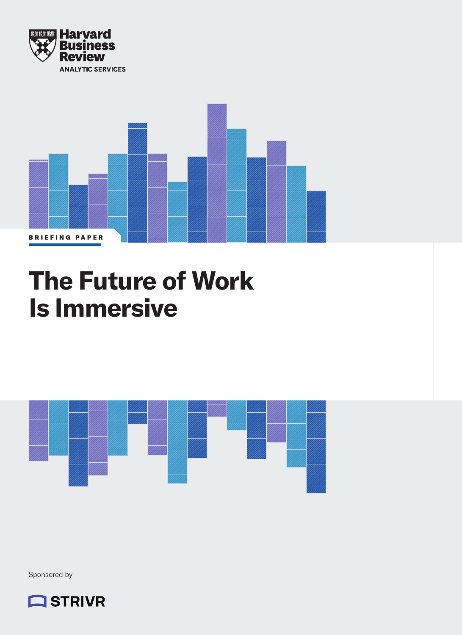



# **The Future of Work Is Immersive**



Sponsored by

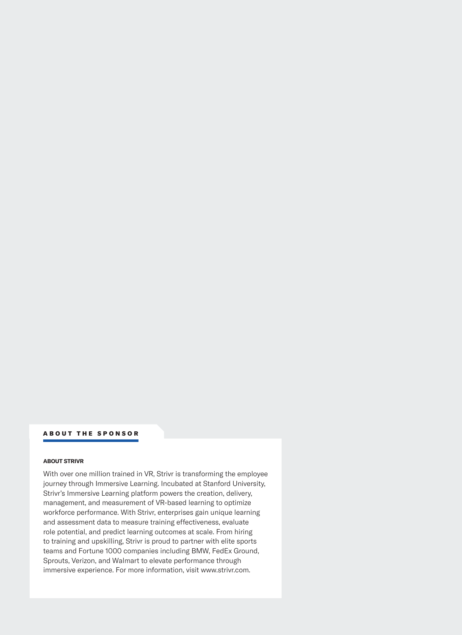### ABOUT THE SPONSOR

#### **ABOUT STRIVR**

With over one million trained in VR, Strivr is transforming the employee journey through Immersive Learning. Incubated at Stanford University, Strivr's Immersive Learning platform powers the creation, delivery, management, and measurement of VR-based learning to optimize workforce performance. With Strivr, enterprises gain unique learning and assessment data to measure training effectiveness, evaluate role potential, and predict learning outcomes at scale. From hiring to training and upskilling, Strivr is proud to partner with elite sports teams and Fortune 1000 companies including BMW, FedEx Ground, Sprouts, Verizon, and Walmart to elevate performance through immersive experience. For more information, visit www.strivr.com.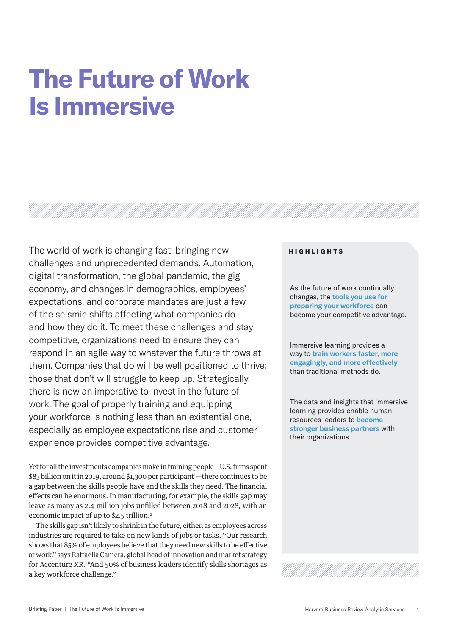# **The Future of Work Is Immersive**

The world of work is changing fast, bringing new challenges and unprecedented demands. Automation, digital transformation, the global pandemic, the gig economy, and changes in demographics, employees' expectations, and corporate mandates are just a few of the seismic shifts affecting what companies do and how they do it. To meet these challenges and stay competitive, organizations need to ensure they can respond in an agile way to whatever the future throws at them. Companies that do will be well positioned to thrive; those that don't will struggle to keep up. Strategically, there is now an imperative to invest in the future of work. The goal of properly training and equipping your workforce is nothing less than an existential one, especially as employee expectations rise and customer experience provides competitive advantage.

Yet for all the investments companies make in training people—U.S. firms spent \$83 billion on it in 2019, around \$1,300 per participant<sup>1</sup>—there continues to be a gap between the skills people have and the skills they need. The financial effects can be enormous. In manufacturing, for example, the skills gap may leave as many as 2.4 million jobs unfilled between 2018 and 2028, with an economic impact of up to \$2.5 trillion.2

The skills gap isn't likely to shrink in the future, either, as employees across industries are required to take on new kinds of jobs or tasks. "Our research shows that 85% of employees believe that they need new skills to be effective at work," says Raffaella Camera, global head of innovation and market strategy for Accenture XR. "And 50% of business leaders identify skills shortages as a key workforce challenge."

## HIGHLIGHTS

As the future of work continually changes, the **tools you use for preparing your workforce** can become your competitive advantage.

Immersive learning provides a way to **train workers faster, more engagingly, and more effectively**  than traditional methods do.

The data and insights that immersive learning provides enable human resources leaders to **become stronger business partners** with their organizations.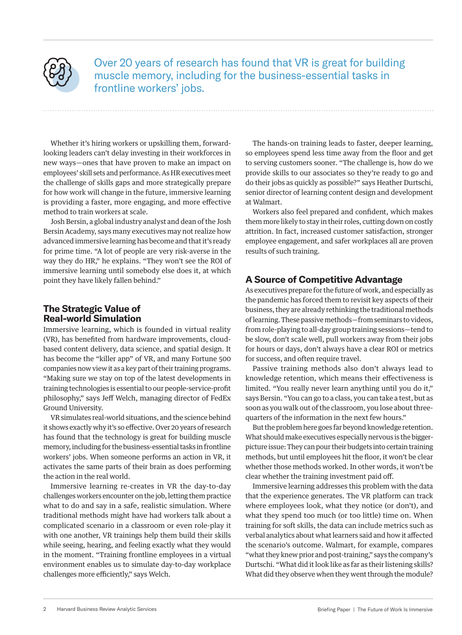

Over 20 years of research has found that VR is great for building muscle memory, including for the business-essential tasks in frontline workers' jobs.

Whether it's hiring workers or upskilling them, forwardlooking leaders can't delay investing in their workforces in new ways—ones that have proven to make an impact on employees' skill sets and performance. As HR executives meet the challenge of skills gaps and more strategically prepare for how work will change in the future, immersive learning is providing a faster, more engaging, and more effective method to train workers at scale.

Josh Bersin, a global industry analyst and dean of the Josh Bersin Academy, says many executives may not realize how advanced immersive learning has become and that it's ready for prime time. "A lot of people are very risk-averse in the way they do HR," he explains. "They won't see the ROI of immersive learning until somebody else does it, at which point they have likely fallen behind."

# **The Strategic Value of Real-world Simulation**

Immersive learning, which is founded in virtual reality (VR), has benefited from hardware improvements, cloudbased content delivery, data science, and spatial design. It has become the "killer app" of VR, and many Fortune 500 companies now view it as a key part of their training programs. "Making sure we stay on top of the latest developments in training technologies is essential to our people-service-profit philosophy," says Jeff Welch, managing director of FedEx Ground University.

VR simulates real-world situations, and the science behind it shows exactly why it's so effective. Over 20 years of research has found that the technology is great for building muscle memory, including for the business-essential tasks in frontline workers' jobs. When someone performs an action in VR, it activates the same parts of their brain as does performing the action in the real world.

Immersive learning re-creates in VR the day-to-day challenges workers encounter on the job, letting them practice what to do and say in a safe, realistic simulation. Where traditional methods might have had workers talk about a complicated scenario in a classroom or even role-play it with one another, VR trainings help them build their skills while seeing, hearing, and feeling exactly what they would in the moment. "Training frontline employees in a virtual environment enables us to simulate day-to-day workplace challenges more efficiently," says Welch.

The hands-on training leads to faster, deeper learning, so employees spend less time away from the floor and get to serving customers sooner. "The challenge is, how do we provide skills to our associates so they're ready to go and do their jobs as quickly as possible?" says Heather Durtschi, senior director of learning content design and development at Walmart.

Workers also feel prepared and confident, which makes them more likely to stay in their roles, cutting down on costly attrition. In fact, increased customer satisfaction, stronger employee engagement, and safer workplaces all are proven results of such training.

# **A Source of Competitive Advantage**

As executives prepare for the future of work, and especially as the pandemic has forced them to revisit key aspects of their business, they are already rethinking the traditional methods of learning. These passive methods—from seminars to videos, from role-playing to all-day group training sessions—tend to be slow, don't scale well, pull workers away from their jobs for hours or days, don't always have a clear ROI or metrics for success, and often require travel.

Passive training methods also don't always lead to knowledge retention, which means their effectiveness is limited. "You really never learn anything until you do it," says Bersin. "You can go to a class, you can take a test, but as soon as you walk out of the classroom, you lose about threequarters of the information in the next few hours."

But the problem here goes far beyond knowledge retention. What should make executives especially nervous is the biggerpicture issue: They can pour their budgets into certain training methods, but until employees hit the floor, it won't be clear whether those methods worked. In other words, it won't be clear whether the training investment paid off.

Immersive learning addresses this problem with the data that the experience generates. The VR platform can track where employees look, what they notice (or don't), and what they spend too much (or too little) time on. When training for soft skills, the data can include metrics such as verbal analytics about what learners said and how it affected the scenario's outcome. Walmart, for example, compares "what they knew prior and post-training," says the company's Durtschi. "What did it look like as far as their listening skills? What did they observe when they went through the module?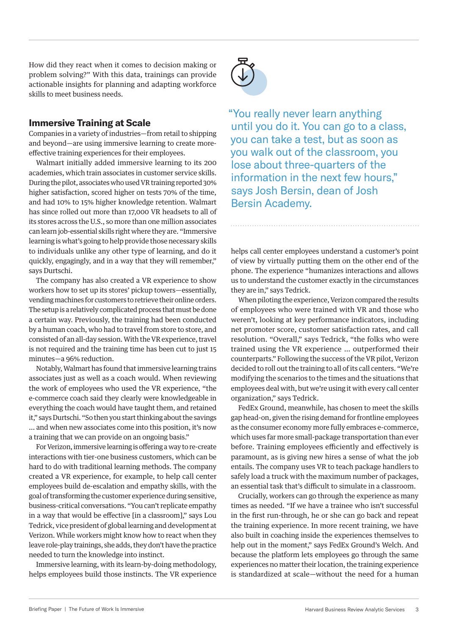How did they react when it comes to decision making or problem solving?" With this data, trainings can provide actionable insights for planning and adapting workforce skills to meet business needs.

## **Immersive Training at Scale**

Companies in a variety of industries—from retail to shipping and beyond—are using immersive learning to create moreeffective training experiences for their employees.

Walmart initially added immersive learning to its 200 academies, which train associates in customer service skills. During the pilot, associates who used VR training reported 30% higher satisfaction, scored higher on tests 70% of the time, and had 10% to 15% higher knowledge retention. Walmart has since rolled out more than 17,000 VR headsets to all of its stores across the U.S., so more than one million associates can learn job-essential skills right where they are. "Immersive learning is what's going to help provide those necessary skills to individuals unlike any other type of learning, and do it quickly, engagingly, and in a way that they will remember," says Durtschi.

The company has also created a VR experience to show workers how to set up its stores' pickup towers—essentially, vending machines for customers to retrieve their online orders. The setup is a relatively complicated process that must be done a certain way. Previously, the training had been conducted by a human coach, who had to travel from store to store, and consisted of an all-day session. With the VR experience, travel is not required and the training time has been cut to just 15 minutes—a 96% reduction.

Notably, Walmart has found that immersive learning trains associates just as well as a coach would. When reviewing the work of employees who used the VR experience, "the e-commerce coach said they clearly were knowledgeable in everything the coach would have taught them, and retained it," says Durtschi. "So then you start thinking about the savings … and when new associates come into this position, it's now a training that we can provide on an ongoing basis."

For Verizon, immersive learning is offering a way to re-create interactions with tier-one business customers, which can be hard to do with traditional learning methods. The company created a VR experience, for example, to help call center employees build de-escalation and empathy skills, with the goal of transforming the customer experience during sensitive, business-critical conversations. "You can't replicate empathy in a way that would be effective [in a classroom]," says Lou Tedrick, vice president of global learning and development at Verizon. While workers might know how to react when they leave role-play trainings, she adds, they don't have the practice needed to turn the knowledge into instinct.

Immersive learning, with its learn-by-doing methodology, helps employees build those instincts. The VR experience



"You really never learn anything until you do it. You can go to a class, you can take a test, but as soon as you walk out of the classroom, you lose about three-quarters of the information in the next few hours," says Josh Bersin, dean of Josh Bersin Academy.

helps call center employees understand a customer's point of view by virtually putting them on the other end of the phone. The experience "humanizes interactions and allows us to understand the customer exactly in the circumstances they are in," says Tedrick.

When piloting the experience, Verizon compared the results of employees who were trained with VR and those who weren't, looking at key performance indicators, including net promoter score, customer satisfaction rates, and call resolution. "Overall," says Tedrick, "the folks who were trained using the VR experience … outperformed their counterparts." Following the success of the VR pilot, Verizon decided to roll out the training to all of its call centers. "We're modifying the scenarios to the times and the situations that employees deal with, but we're using it with every call center organization," says Tedrick.

FedEx Ground, meanwhile, has chosen to meet the skills gap head-on, given the rising demand for frontline employees as the consumer economy more fully embraces e-commerce, which uses far more small-package transportation than ever before. Training employees efficiently and effectively is paramount, as is giving new hires a sense of what the job entails. The company uses VR to teach package handlers to safely load a truck with the maximum number of packages, an essential task that's difficult to simulate in a classroom.

Crucially, workers can go through the experience as many times as needed. "If we have a trainee who isn't successful in the first run-through, he or she can go back and repeat the training experience. In more recent training, we have also built in coaching inside the experiences themselves to help out in the moment," says FedEx Ground's Welch. And because the platform lets employees go through the same experiences no matter their location, the training experience is standardized at scale—without the need for a human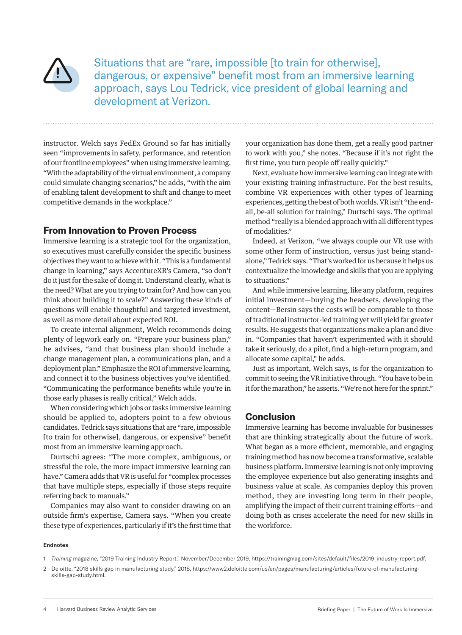

Situations that are "rare, impossible [to train for otherwise], dangerous, or expensive" benefit most from an immersive learning approach, says Lou Tedrick, vice president of global learning and development at Verizon.

instructor. Welch says FedEx Ground so far has initially seen "improvements in safety, performance, and retention of our frontline employees" when using immersive learning. "With the adaptability of the virtual environment, a company could simulate changing scenarios," he adds, "with the aim of enabling talent development to shift and change to meet competitive demands in the workplace."

## **From Innovation to Proven Process**

Immersive learning is a strategic tool for the organization, so executives must carefully consider the specific business objectives they want to achieve with it. "This is a fundamental change in learning," says AccentureXR's Camera, "so don't do it just for the sake of doing it. Understand clearly, what is the need? What are you trying to train for? And how can you think about building it to scale?" Answering these kinds of questions will enable thoughtful and targeted investment, as well as more detail about expected ROI.

To create internal alignment, Welch recommends doing plenty of legwork early on. "Prepare your business plan," he advises, "and that business plan should include a change management plan, a communications plan, and a deployment plan." Emphasize the ROI of immersive learning, and connect it to the business objectives you've identified. "Communicating the performance benefits while you're in those early phases is really critical," Welch adds.

When considering which jobs or tasks immersive learning should be applied to, adopters point to a few obvious candidates. Tedrick says situations that are "rare, impossible [to train for otherwise], dangerous, or expensive" benefit most from an immersive learning approach.

Durtschi agrees: "The more complex, ambiguous, or stressful the role, the more impact immersive learning can have." Camera adds that VR is useful for "complex processes that have multiple steps, especially if those steps require referring back to manuals."

Companies may also want to consider drawing on an outside firm's expertise, Camera says. "When you create these type of experiences, particularly if it's the first time that your organization has done them, get a really good partner to work with you," she notes. "Because if it's not right the first time, you turn people off really quickly."

Next, evaluate how immersive learning can integrate with your existing training infrastructure. For the best results, combine VR experiences with other types of learning experiences, getting the best of both worlds. VR isn't "the endall, be-all solution for training," Durtschi says. The optimal method "really is a blended approach with all different types of modalities."

Indeed, at Verizon, "we always couple our VR use with some other form of instruction, versus just being standalone," Tedrick says. "That's worked for us because it helps us contextualize the knowledge and skills that you are applying to situations."

And while immersive learning, like any platform, requires initial investment—buying the headsets, developing the content—Bersin says the costs will be comparable to those of traditional instructor-led training yet will yield far greater results. He suggests that organizations make a plan and dive in. "Companies that haven't experimented with it should take it seriously, do a pilot, find a high-return program, and allocate some capital," he adds.

Just as important, Welch says, is for the organization to commit to seeing the VR initiative through. "You have to be in it for the marathon," he asserts. "We're not here for the sprint."

## **Conclusion**

Immersive learning has become invaluable for businesses that are thinking strategically about the future of work. What began as a more efficient, memorable, and engaging training method has now become a transformative, scalable business platform. Immersive learning is not only improving the employee experience but also generating insights and business value at scale. As companies deploy this proven method, they are investing long term in their people, amplifying the impact of their current training efforts—and doing both as crises accelerate the need for new skills in the workforce.

#### **Endnotes**

2 Deloitte, "2018 skills gap in manufacturing study," 2018, https://www2.deloitte.com/us/en/pages/manufacturing/articles/future-of-manufacturingskills-gap-study.html.

<sup>1</sup> *Training* magazine, "2019 Training Industry Report," November/December 2019, https://trainingmag.com/sites/default/files/2019\_industry\_report.pdf.